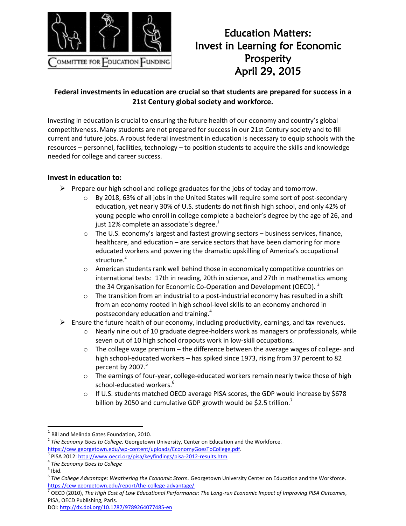

## Education Matters: Invest in Learning for Economic Prosperity April 29, 2015

## **Federal investments in education are crucial so that students are prepared for success in a 21st Century global society and workforce.**

Investing in education is crucial to ensuring the future health of our economy and country's global competitiveness. Many students are not prepared for success in our 21st Century society and to fill current and future jobs. A robust federal investment in education is necessary to equip schools with the resources – personnel, facilities, technology – to position students to acquire the skills and knowledge needed for college and career success.

## **Invest in education to:**

- $\triangleright$  Prepare our high school and college graduates for the jobs of today and tomorrow.
	- $\circ$  By 2018, 63% of all jobs in the United States will require some sort of post-secondary education, yet nearly 30% of U.S. students do not finish high school, and only 42% of young people who enroll in college complete a bachelor's degree by the age of 26, and just 12% complete an associate's degree. $1$
	- $\circ$  The U.S. economy's largest and fastest growing sectors business services, finance, healthcare, and education – are service sectors that have been clamoring for more educated workers and powering the dramatic upskilling of America's occupational structure.<sup>2</sup>
	- o American students rank well behind those in economically competitive countries on international tests: 17th in reading, 20th in science, and 27th in mathematics among the 34 Organisation for Economic Co-Operation and Development (OECD).<sup>3</sup>
	- $\circ$  The transition from an industrial to a post-industrial economy has resulted in a shift from an economy rooted in high school-level skills to an economy anchored in postsecondary education and training.<sup>4</sup>
- $\triangleright$  Ensure the future health of our economy, including productivity, earnings, and tax revenues.
	- $\circ$  Nearly nine out of 10 graduate degree-holders work as managers or professionals, while seven out of 10 high school dropouts work in low-skill occupations.
	- $\circ$  The college wage premium the difference between the average wages of college- and high school-educated workers – has spiked since 1973, rising from 37 percent to 82 percent by 2007. 5
	- o The earnings of four-year, college-educated workers remain nearly twice those of high school-educated workers.<sup>6</sup>
	- $\circ$  If U.S. students matched OECD average PISA scores, the GDP would increase by \$678 billion by 2050 and cumulative GDP growth would be \$2.5 trillion.<sup>7</sup>

 $<sup>5</sup>$  Ibid.</sup>

 $\overline{\phantom{a}}$ 

 $<sup>1</sup>$  Bill and Melinda Gates Foundation, 2010.</sup>

<sup>2</sup> *The Economy Goes to College.* Georgetown University, Center on Education and the Workforce. [https://cew.georgetown.edu/wp-content/uploads/EconomyGoesToCollege.pdf.](https://cew.georgetown.edu/wp-content/uploads/EconomyGoesToCollege.pdf) 3

PISA 2012:<http://www.oecd.org/pisa/keyfindings/pisa-2012-results.htm> 4 *The Economy Goes to College*

<sup>6</sup> *The College Advantage: Weathering the Economic Storm.* Georgetown University Center on Education and the Workforce. <https://cew.georgetown.edu/report/the-college-advantage/>

<sup>7</sup> OECD (2010), *The High Cost of Low Educational Performance: The Long-run Economic Impact of Improving PISA Outcomes*, PISA, OECD Publishing, Paris.

DOI[: http://dx.doi.org/10.1787/9789264077485-en](http://dx.doi.org/10.1787/9789264077485-en)